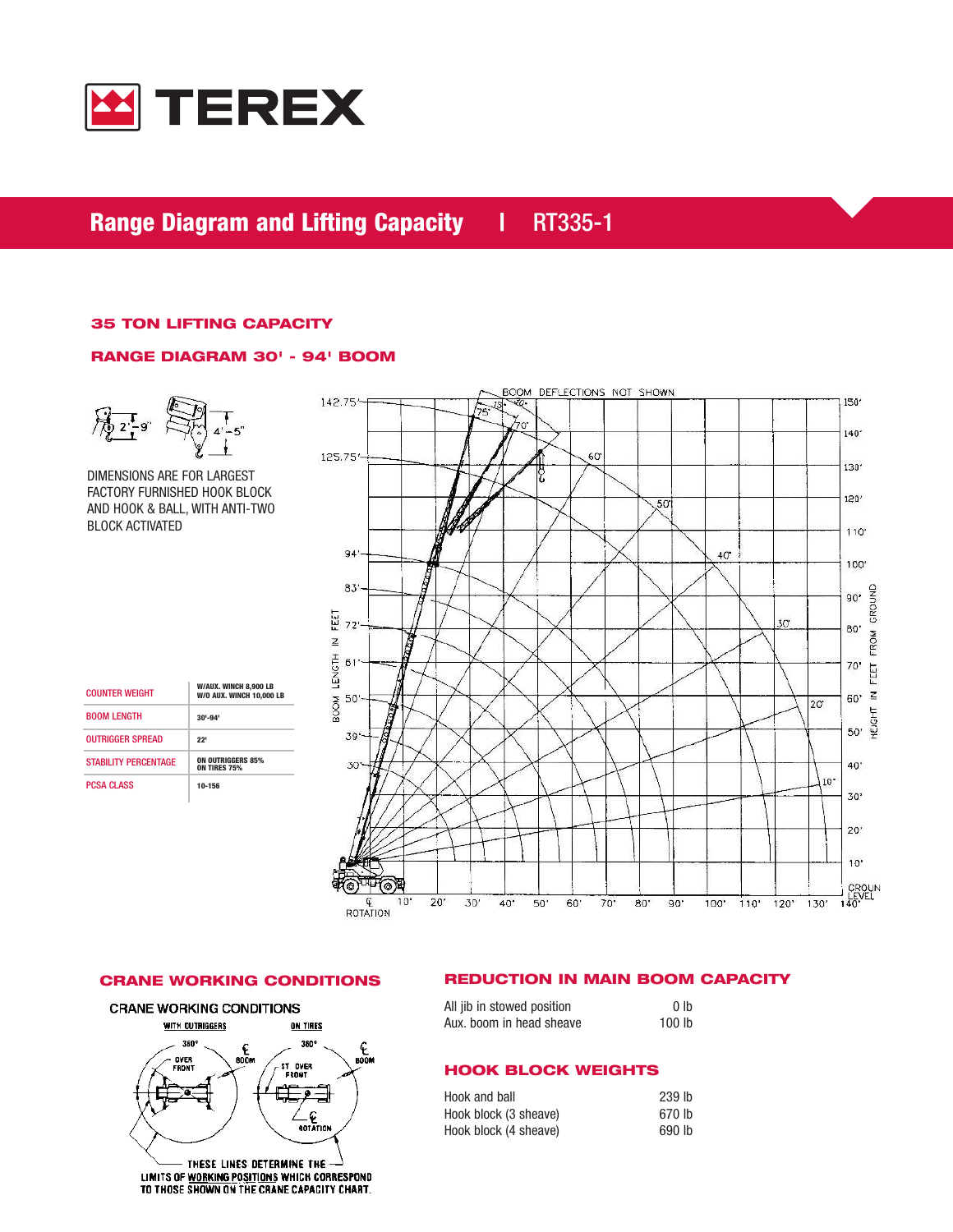

# Range Diagram and Lifting Capacity | RT335-1

## 35 TON LIFTING CAPACITY

## RANGE DIAGRAM 30' - 94' BOOM



DIMENSIONS ARE FOR LARGEST FACTORY FURNISHED HOOK BLOCK AND HOOK & BALL, WITH ANTI-TWO BLOCK ACTIVATED

| <b>COUNTER WEIGHT</b>       | W/AUX. WINCH 8.900 LB<br>W/O AUX. WINCH 10,000 LB |
|-----------------------------|---------------------------------------------------|
| <b>BOOM LENGTH</b>          | $30 - 94$                                         |
| <b>OUTRIGGER SPREAD</b>     | 22'                                               |
| <b>STARILITY PERCENTAGE</b> | <b>ON OUTRIGGERS 85%</b><br><b>ON TIRES 75%</b>   |
| <b>PCSA CLASS</b>           | 10-156                                            |



**CRANE WORKING CONDITIONS** 



LIMITS OF WORKING POSITIONS WHICH CORRESPOND TO THOSE SHOWN ON THE CRANE CAPACITY CHART.

## CRANE WORKING CONDITIONS REDUCTION IN MAIN BOOM CAPACITY

| All jib in stowed position | 0 lb              |
|----------------------------|-------------------|
| Aux. boom in head sheave   | 100 <sub>lb</sub> |

## HOOK BLOCK WEIGHTS

| Hook and ball         | 239 lb |
|-----------------------|--------|
| Hook block (3 sheave) | 670 lb |
| Hook block (4 sheave) | 690 lb |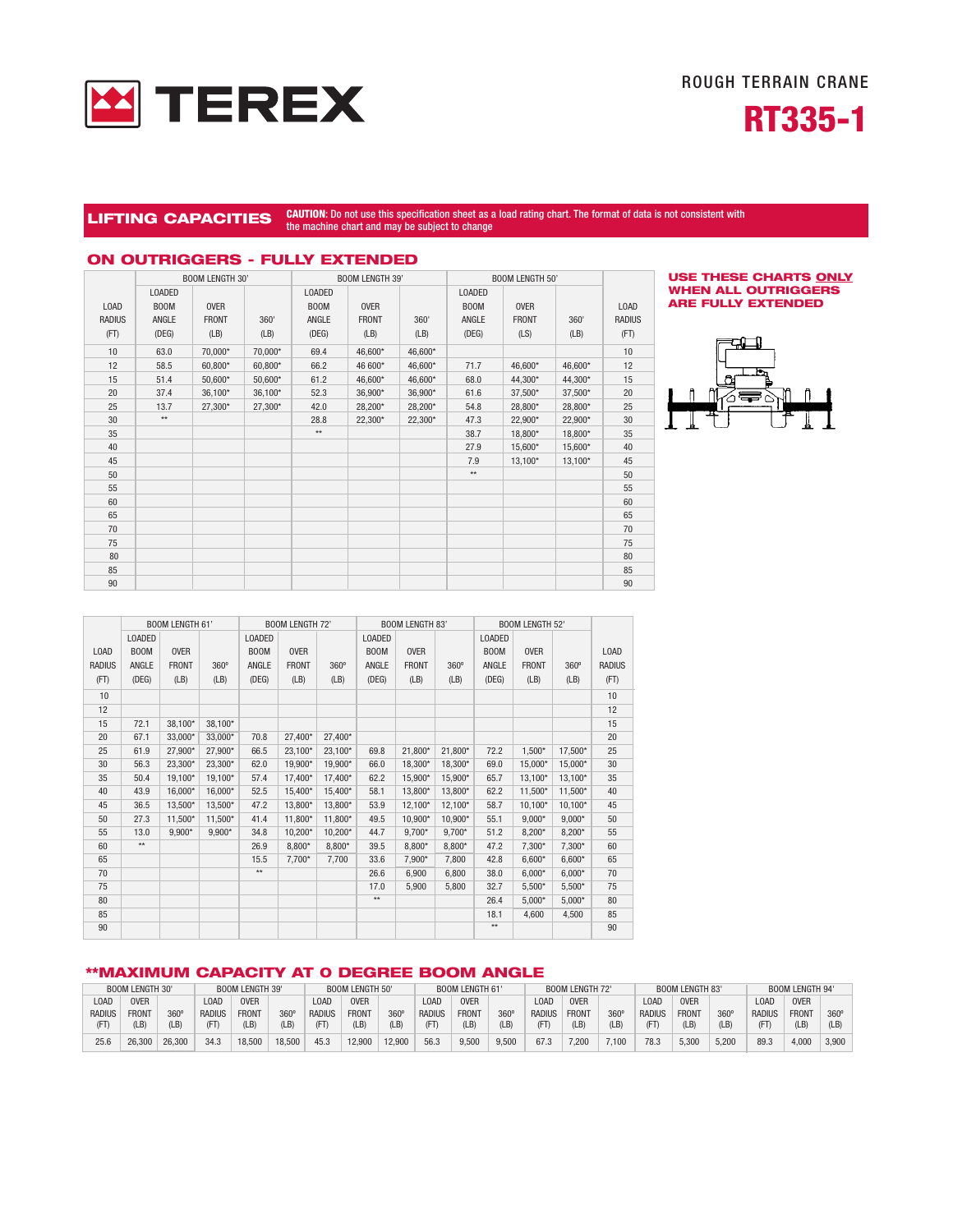



## LIFTING CAPACITIES CAUTION: Do not use this specification sheet as a load rating chart. The format of data is not consistent with the machine chart and may be subject to change

## ON OUTRIGGERS - FULLY EXTENDED

|        |                 | <b>BOOM LENGTH 30'</b> |         |                 | <b>BOOM LENGTH 39'</b> |         | <b>BOOM LENGTH 50'</b> |              |         |               |
|--------|-----------------|------------------------|---------|-----------------|------------------------|---------|------------------------|--------------|---------|---------------|
|        | LOADED          |                        |         | <b>LOADED</b>   |                        |         | <b>LOADED</b>          |              |         |               |
| LOAD   | <b>BOOM</b>     | <b>OVER</b>            |         | <b>BOOM</b>     | <b>OVER</b>            |         | <b>BOOM</b>            | <b>OVER</b>  |         | LOAD          |
| RADIUS | ANGLE           | <b>FRONT</b>           | 360'    | ANGLE           | <b>FRONT</b>           | 360'    | ANGLE                  | <b>FRONT</b> | 360'    | <b>RADIUS</b> |
| (FT)   | (DEG)           | (LB)                   | (LB)    | (DEG)           | (LB)                   | (LB)    | (DEG)                  | (LS)         | (LB)    | (FT)          |
| 10     | 63.0            | 70,000*                | 70,000* | 69.4            | 46,600*                | 46,600* |                        |              |         | 10            |
| 12     | 58.5            | 60,800*                | 60,800* | 66.2            | 46 600*                | 46,600* | 71.7                   | 46,600*      | 46,600* | 12            |
| 15     | 51.4            | 50,600*                | 50,600* | 61.2            | 46,600*                | 46,600* | 68.0                   | 44,300*      | 44,300* | 15            |
| 20     | 37.4            | 36,100*                | 36,100* | 52.3            | 36,900*                | 36,900* | 61.6                   | 37,500*      | 37,500* | 20            |
| 25     | 13.7            | 27,300*                | 27,300* | 42.0            | 28,200*                | 28,200* | 54.8                   | 28,800*      | 28,800* | 25            |
| 30     | $^{\star\star}$ |                        |         | 28.8            | 22,300*                | 22,300* | 47.3                   | 22,900*      | 22,900* | 30            |
| 35     |                 |                        |         | $^{\star\star}$ |                        |         | 38.7                   | 18,800*      | 18,800* | 35            |
| 40     |                 |                        |         |                 |                        |         | 27.9                   | 15,600*      | 15,600* | 40            |
| 45     |                 |                        |         |                 |                        |         | 7.9                    | 13,100*      | 13,100* | 45            |
| 50     |                 |                        |         |                 |                        |         | $^{\star\star}$        |              |         | 50            |
| 55     |                 |                        |         |                 |                        |         |                        |              |         | 55            |
| 60     |                 |                        |         |                 |                        |         |                        |              |         | 60            |
| 65     |                 |                        |         |                 |                        |         |                        |              |         | 65            |
| 70     |                 |                        |         |                 |                        |         |                        |              |         | 70            |
| 75     |                 |                        |         |                 |                        |         |                        |              |         | 75            |
| 80     |                 |                        |         |                 |                        |         |                        |              |         | 80            |
| 85     |                 |                        |         |                 |                        |         |                        |              |         | 85            |
| 90     |                 |                        |         |                 |                        |         |                        |              |         | 90            |





|               |              | <b>BOOM LENGTH 61'</b> |             |               | <b>BOOM LENGTH 72'</b> |             |               | <b>BOOM LENGTH 83'</b> |             | <b>BOOM LENGTH 52'</b> |              |             |               |
|---------------|--------------|------------------------|-------------|---------------|------------------------|-------------|---------------|------------------------|-------------|------------------------|--------------|-------------|---------------|
|               | LOADED       |                        |             | <b>LOADED</b> |                        |             | <b>LOADED</b> |                        |             | <b>LOADED</b>          |              |             |               |
| LOAD          | <b>BOOM</b>  | <b>OVER</b>            |             | <b>BOOM</b>   | <b>OVER</b>            |             | <b>BOOM</b>   | <b>OVER</b>            |             | BOOM                   | <b>OVER</b>  |             | LOAD          |
| <b>RADIUS</b> | ANGLE        | <b>FRONT</b>           | $360^\circ$ | ANGLE         | <b>FRONT</b>           | $360^\circ$ | <b>ANGLE</b>  | <b>FRONT</b>           | $360^\circ$ | ANGLE                  | <b>FRONT</b> | $360^\circ$ | <b>RADIUS</b> |
| (FT)          | (DEG)        | (LB)                   | (LB)        | (DEG)         | (LB)                   | (LB)        | (DEG)         | (LB)                   | (LB)        | (DEG)                  | (LB)         | (LB)        | (FT)          |
| 10            |              |                        |             |               |                        |             |               |                        |             |                        |              |             | 10            |
| 12            |              |                        |             |               |                        |             |               |                        |             |                        |              |             | 12            |
| 15            | 72.1         | 38,100*                | 38,100*     |               |                        |             |               |                        |             |                        |              |             | 15            |
| 20            | 67.1         | 33,000*                | 33,000*     | 70.8          | 27,400*                | 27,400*     |               |                        |             |                        |              |             | 20            |
| 25            | 61.9         | 27,900*                | 27,900*     | 66.5          | 23,100*                | 23,100*     | 69.8          | 21,800*                | 21,800*     | 72.2                   | 1,500*       | 17,500*     | 25            |
| 30            | 56.3         | 23,300*                | 23,300*     | 62.0          | 19,900*                | 19,900*     | 66.0          | 18,300*                | 18,300*     | 69.0                   | 15,000*      | 15,000*     | 30            |
| 35            | 50.4         | 19,100*                | 19,100*     | 57.4          | 17,400*                | 17,400*     | 62.2          | 15,900*                | 15,900*     | 65.7                   | 13,100*      | 13,100*     | 35            |
| 40            | 43.9         | 16,000*                | 16,000*     | 52.5          | 15,400*                | 15,400*     | 58.1          | 13,800*                | 13,800*     | 62.2                   | 11,500*      | 11,500*     | 40            |
| 45            | 36.5         | 13,500*                | 13,500*     | 47.2          | 13,800*                | 13,800*     | 53.9          | 12,100*                | 12,100*     | 58.7                   | $10.100*$    | 10,100*     | 45            |
| 50            | 27.3         | 11.500*                | 11,500*     | 41.4          | 11,800*                | 11,800*     | 49.5          | 10,900*                | 10,900*     | 55.1                   | $9,000*$     | $9,000*$    | 50            |
| 55            | 13.0         | $9.900*$               | $9,900*$    | 34.8          | 10.200*                | 10,200*     | 44.7          | $9.700*$               | $9,700*$    | 51.2                   | 8,200*       | $8,200*$    | 55            |
| 60            | $\star\star$ |                        |             | 26.9          | 8,800*                 | 8,800*      | 39.5          | 8,800*                 | 8,800*      | 47.2                   | 7,300*       | 7,300*      | 60            |
| 65            |              |                        |             | 15.5          | $7,700*$               | 7,700       | 33.6          | 7,900*                 | 7,800       | 42.8                   | $6,600*$     | $6,600*$    | 65            |
| 70            |              |                        |             | $\star\star$  |                        |             | 26.6          | 6,900                  | 6,800       | 38.0                   | $6,000*$     | $6,000*$    | 70            |
| 75            |              |                        |             |               |                        |             | 17.0          | 5,900                  | 5,800       | 32.7                   | $5,500*$     | $5,500*$    | 75            |
| 80            |              |                        |             |               |                        |             | $**$          |                        |             | 26.4                   | $5,000*$     | $5,000*$    | 80            |
| 85            |              |                        |             |               |                        |             |               |                        |             | 18.1                   | 4,600        | 4,500       | 85            |
| 90            |              |                        |             |               |                        |             |               |                        |             | $**$                   |              |             | 90            |

### \*\*MAXIMUM CAPACITY AT 0 DEGREE BOOM ANGLE

|        | <b>BOOM LENGTH 30'</b> |        |                   | BOOM LENGTH 39' |             |               |              | <b>BOOM LENGTH 50'</b><br><b>BOOM LENGTH 61'</b> |        | <b>BOOM LENGTH 72'</b> |       | <b>BOOM LENGTH 83'</b> |              |             | <b>BOOM LENGTH 94'</b> |              |                  |        |              |                  |
|--------|------------------------|--------|-------------------|-----------------|-------------|---------------|--------------|--------------------------------------------------|--------|------------------------|-------|------------------------|--------------|-------------|------------------------|--------------|------------------|--------|--------------|------------------|
| LOAD   | <b>OVER</b>            |        | L <sub>0</sub> AD | <b>OVER</b>     |             | LOAD          | <b>OVER</b>  |                                                  | LOAD   | <b>OVER</b>            |       | L <sub>0</sub> AD      | <b>OVER</b>  |             | 0AD                    | <b>OVER</b>  |                  | LOAD   | <b>OVER</b>  |                  |
| Radius | <b>FRONT</b>           | 360    | <b>RADIUS</b>     | <b>FRONT</b>    | $360^\circ$ | <b>RADIUS</b> | <b>FRONT</b> | $360^\circ$                                      | RADIUS | <b>FRONT</b>           | 360   | <b>RADIUS</b>          | <b>FRONT</b> | $360^\circ$ | <b>RADIUS</b>          | <b>FRONT</b> | 360 <sup>c</sup> | RADIUS | <b>FRONT</b> | 360 <sup>c</sup> |
|        | (LB)                   | LB)    | (FT               | (LB)            |             |               | LB)          | (LB)                                             | (FT)   | (LB)                   | LB)   | (FT                    | (LB)         | (LB)        | (FT                    | (LB)         | (LB)             | (FT    | (LB)         |                  |
| 25.6   | 26.300                 | 26,300 | 34.3              | 18.500          | 8.500       | 45.3          | 12.900       | 12.900                                           | 56.3   | 9.500                  | 9.500 | 67.3                   | 7.200        | .100        | 78.3                   | 5.300        | 5.200            | 89.3   | 4.000        | 3.900            |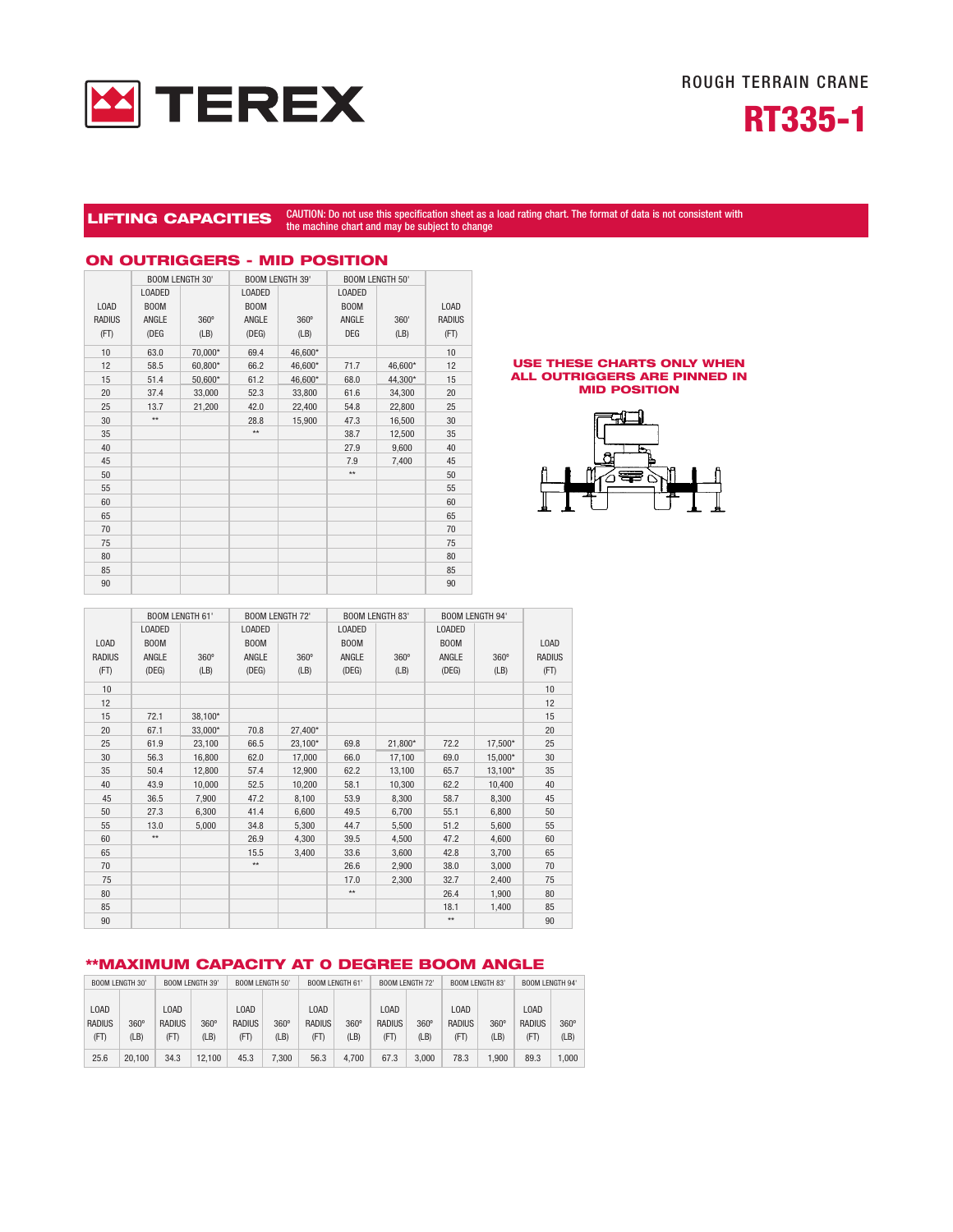

ROUGH TERRAIN CRANE



# LIFTING CAPACITIES CAUTION: Do not use this specification sheet as a load rating chart. The format of data is not consistent with the machine chart and may be subject to change

|               |                        |             |                        |             | vun run                |         |               |
|---------------|------------------------|-------------|------------------------|-------------|------------------------|---------|---------------|
|               | <b>BOOM LENGTH 30'</b> |             | <b>BOOM LENGTH 39'</b> |             | <b>BOOM LENGTH 50'</b> |         |               |
|               | <b>LOADED</b>          |             | <b>LOADED</b>          |             | <b>LOADED</b>          |         |               |
| <b>LOAD</b>   | <b>BOOM</b>            |             | <b>BOOM</b>            |             | <b>BOOM</b>            |         | LOAD          |
| <b>RADIUS</b> | ANGLE                  | $360^\circ$ | ANGLE                  | $360^\circ$ | ANGLE                  | 360'    | <b>RADIUS</b> |
| (FT)          | (DEG                   | (LB)        | (DEG)                  | (LB)        | <b>DEG</b>             | (LB)    | (FT)          |
| 10            | 63.0                   | 70,000*     | 69.4                   | 46,600*     |                        |         | 10            |
| 12            | 58.5                   | 60,800*     | 66.2                   | 46,600*     | 71.7                   | 46,600* | 12            |
| 15            | 51.4                   | 50,600*     | 61.2                   | 46,600*     | 68.0                   | 44,300* | 15            |
| 20            | 37.4                   | 33,000      | 52.3                   | 33,800      | 61.6                   | 34,300  | 20            |
| 25            | 13.7                   | 21,200      | 42.0                   | 22,400      | 54.8                   | 22,800  | 25            |
| 30            | $\star\star$           |             | 28.8                   | 15,900      | 47.3                   | 16,500  | 30            |
| 35            |                        |             | $\star\star$           |             | 38.7                   | 12,500  | 35            |
| 40            |                        |             |                        |             | 27.9                   | 9,600   | 40            |
| 45            |                        |             |                        |             | 7.9                    | 7,400   | 45            |
| 50            |                        |             |                        |             | $\star\star$           |         | 50            |
| 55            |                        |             |                        |             |                        |         | 55            |
| 60            |                        |             |                        |             |                        |         | 60            |
| 65            |                        |             |                        |             |                        |         | 65            |
| 70            |                        |             |                        |             |                        |         | 70            |
| 75            |                        |             |                        |             |                        |         | 75            |
| 80            |                        |             |                        |             |                        |         | 80            |
| 85            |                        |             |                        |             |                        |         | 85            |
| 90            |                        |             |                        |             |                        |         | 90            |

## ON OUTRIGGERS - MID POSITION

#### USE THESE CHARTS ONLY WHEN ALL OUTRIGGERS ARE PINNED IN MID POSITION



|               |               | <b>BOOM LENGTH 61'</b> | <b>BOOM LENGTH 72'</b> |         | <b>BOOM LENGTH 83'</b> |             | <b>BOOM LENGTH 94'</b> |             |               |
|---------------|---------------|------------------------|------------------------|---------|------------------------|-------------|------------------------|-------------|---------------|
|               | <b>LOADED</b> |                        | <b>LOADED</b>          |         | <b>LOADED</b>          |             | <b>LOADED</b>          |             |               |
| LOAD          | <b>BOOM</b>   |                        | <b>BOOM</b>            |         | <b>BOOM</b>            |             | <b>BOOM</b>            |             | <b>LOAD</b>   |
| <b>RADIUS</b> | ANGLE         | $360^\circ$            | ANGLE                  | 360°    | ANGLE                  | $360^\circ$ | ANGLE                  | $360^\circ$ | <b>RADIUS</b> |
| (FT)          | (DEG)         | (LB)                   | (DEG)                  | (LB)    | (DEG)                  | (LB)        | (DEG)                  | (LB)        | (FT)          |
| 10            |               |                        |                        |         |                        |             |                        |             | 10            |
| 12            |               |                        |                        |         |                        |             |                        |             | 12            |
| 15            | 72.1          | 38,100*                |                        |         |                        |             |                        |             | 15            |
| 20            | 67.1          | 33,000*                | 70.8                   | 27,400* |                        |             |                        |             | 20            |
| 25            | 61.9          | 23,100                 | 66.5                   | 23,100* | 69.8                   | 21,800*     | 72.2                   | 17,500*     | 25            |
| 30            | 56.3          | 16,800                 | 62.0                   | 17,000  | 66.0                   | 17,100      | 69.0                   | 15,000*     | 30            |
| 35            | 50.4          | 12,800                 | 57.4                   | 12,900  | 62.2                   | 13,100      | 65.7                   | 13,100*     | 35            |
| 40            | 43.9          | 10,000                 | 52.5                   | 10,200  | 58.1                   | 10,300      | 62.2                   | 10,400      | 40            |
| 45            | 36.5          | 7,900                  | 47.2                   | 8,100   | 53.9                   | 8,300       | 58.7                   | 8,300       | 45            |
| 50            | 27.3          | 6,300                  | 41.4                   | 6,600   | 49.5                   | 6,700       | 55.1                   | 6,800       | 50            |
| 55            | 13.0          | 5,000                  | 34.8                   | 5,300   | 44.7                   | 5,500       | 51.2                   | 5,600       | 55            |
| 60            | $\star\star$  |                        | 26.9                   | 4,300   | 39.5                   | 4,500       | 47.2                   | 4,600       | 60            |
| 65            |               |                        | 15.5                   | 3,400   | 33.6                   | 3,600       | 42.8                   | 3,700       | 65            |
| 70            |               |                        | $^{\star\star}$        |         | 26.6                   | 2,900       | 38.0                   | 3,000       | 70            |
| 75            |               |                        |                        |         | 17.0                   | 2,300       | 32.7                   | 2,400       | 75            |
| 80            |               |                        |                        |         | $\star\star$           |             | 26.4                   | 1,900       | 80            |
| 85            |               |                        |                        |         |                        |             | 18.1                   | 1,400       | 85            |
| 90            |               |                        |                        |         |                        |             | $\star\star$           |             | 90            |

## \*\*MAXIMUM CAPACITY AT 0 DEGREE BOOM ANGLE

| BOOM LENGTH 30' |             | BOOM LENGTH 39' |             | BOOM LENGTH 50' |             | BOOM LENGTH 61 |             | BOOM LENGTH 72' |             | BOOM LENGTH 83' |             | BOOM LENGTH 94 |             |
|-----------------|-------------|-----------------|-------------|-----------------|-------------|----------------|-------------|-----------------|-------------|-----------------|-------------|----------------|-------------|
|                 |             |                 |             |                 |             |                |             |                 |             |                 |             |                |             |
| <b>LOAD</b>     |             | LOAD            |             | <b>LOAD</b>     |             | LOAD           |             | L0AD            |             | LOAD            |             | L0AD           |             |
| <b>RADIUS</b>   | $360^\circ$ | <b>RADIUS</b>   | $360^\circ$ | <b>RADIUS</b>   | $360^\circ$ | <b>RADIUS</b>  | $360^\circ$ | <b>RADIUS</b>   | $360^\circ$ | <b>RADIUS</b>   | $360^\circ$ | <b>RADIUS</b>  | $360^\circ$ |
| (FT)            | (LB)        | (FT)            | (LB)        | (FT)            | (LB)        | (FT)           | (LB)        | (FT)            | (LB)        | (FT)            | (LB)        | (FT)           | (LB)        |
| 25.6            | 20.100      | 34.3            | 12.100      | 45.3            | 7.300       | 56.3           | 4.700       | 67.3            | 3.000       | 78.3            | 900.        | 89.3           | 000.1       |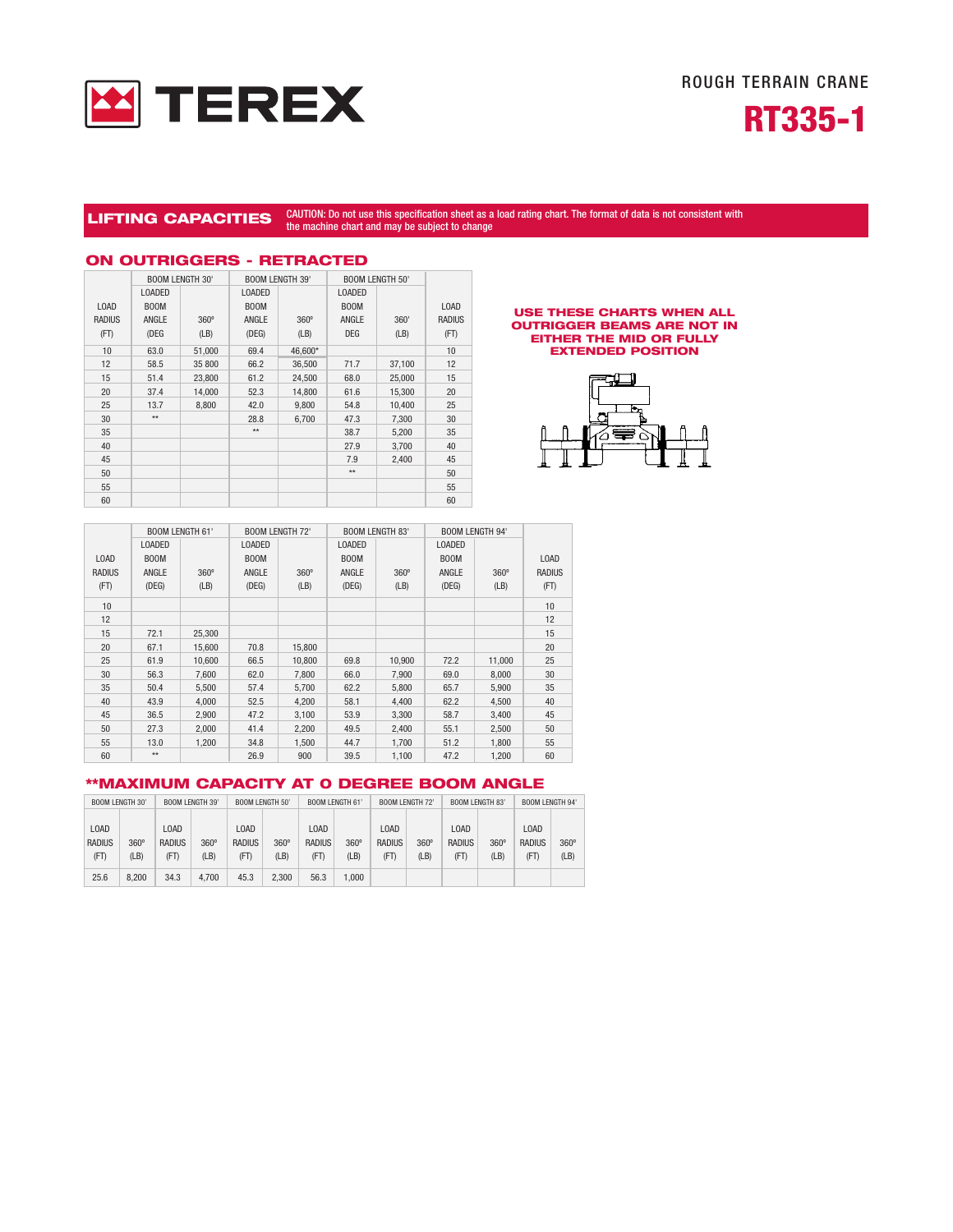



## LIFTING CAPACITIES CAUTION: Do not use this specification sheet as a load rating chart. The format of data is not consistent with the machine chart and may be subject to change

|               | <b>BOOM LENGTH 30'</b> |             | <b>BOOM LENGTH 39'</b> |             |               | <b>BOOM LENGTH 50'</b> |               |  |  |  |  |  |  |
|---------------|------------------------|-------------|------------------------|-------------|---------------|------------------------|---------------|--|--|--|--|--|--|
|               | <b>LOADED</b>          |             | <b>LOADED</b>          |             | <b>LOADED</b> |                        |               |  |  |  |  |  |  |
| <b>LOAD</b>   | <b>BOOM</b>            |             | <b>BOOM</b>            |             | <b>BOOM</b>   |                        | LOAD          |  |  |  |  |  |  |
| <b>RADIUS</b> | ANGLE                  | $360^\circ$ | ANGLE                  | $360^\circ$ | ANGLE         | 360'                   | <b>RADIUS</b> |  |  |  |  |  |  |
| (FT)          | (DEG                   | (LB)        | (DEG)                  | (LB)        | <b>DEG</b>    | (LB)                   | (FT)          |  |  |  |  |  |  |
| 10            | 63.0                   | 51,000      | 69.4                   | 46,600*     |               |                        | 10            |  |  |  |  |  |  |
| 12            | 58.5                   | 35 800      | 66.2                   | 36,500      | 71.7          | 37,100                 | 12            |  |  |  |  |  |  |
| 15            | 51.4                   | 23,800      | 61.2                   | 24,500      | 68.0          | 25,000                 | 15            |  |  |  |  |  |  |
| 20            | 37.4                   | 14,000      | 52.3                   | 14,800      | 61.6          | 15,300                 | 20            |  |  |  |  |  |  |
| 25            | 13.7                   | 8,800       | 42.0                   | 9,800       | 54.8          | 10,400                 | 25            |  |  |  |  |  |  |
| 30            | $\star\star$           |             | 28.8                   | 6,700       | 47.3          | 7,300                  | 30            |  |  |  |  |  |  |
| 35            |                        |             | $**$                   |             | 38.7          | 5,200                  | 35            |  |  |  |  |  |  |
| 40            |                        |             |                        |             | 27.9          | 3,700                  | 40            |  |  |  |  |  |  |
| 45            |                        |             |                        |             | 7.9           | 2,400                  | 45            |  |  |  |  |  |  |
| 50            |                        |             |                        |             | $\star\star$  |                        | 50            |  |  |  |  |  |  |
| 55            |                        |             |                        |             |               |                        | 55            |  |  |  |  |  |  |
| 60            |                        |             |                        |             |               |                        | 60            |  |  |  |  |  |  |

## ON OUTRIGGERS - RETRACTED

#### USE THESE CHARTS WHEN ALL OUTRIGGER BEAMS ARE NOT IN EITHER THE MID OR FULLY EXTENDED POSITION



|               |               | <b>BOOM LENGTH 61'</b> | <b>BOOM LENGTH 72'</b> |             | <b>BOOM LENGTH 83'</b> |             | <b>BOOM LENGTH 94'</b> |             |               |
|---------------|---------------|------------------------|------------------------|-------------|------------------------|-------------|------------------------|-------------|---------------|
|               | <b>LOADED</b> |                        | <b>LOADED</b>          |             | <b>LOADED</b>          |             | <b>LOADED</b>          |             |               |
| L0AD          | <b>BOOM</b>   |                        | <b>BOOM</b>            |             | <b>BOOM</b>            |             | <b>BOOM</b>            |             | <b>LOAD</b>   |
| <b>RADIUS</b> | ANGLE         | $360^\circ$            | ANGLE                  | $360^\circ$ | ANGLE                  | $360^\circ$ | ANGLE                  | $360^\circ$ | <b>RADIUS</b> |
| (FT)          | (DEG)         | (LB)                   | (DEG)                  | (LB)        | (DEG)                  | (LB)        | (DEG)                  | (LB)        | (FT)          |
| 10            |               |                        |                        |             |                        |             |                        |             | 10            |
| 12            |               |                        |                        |             |                        |             |                        |             | 12            |
| 15            | 72.1          | 25.300                 |                        |             |                        |             |                        |             | 15            |
| 20            | 67.1          | 15,600                 | 70.8                   | 15,800      |                        |             |                        |             | 20            |
| 25            | 61.9          | 10,600                 | 66.5                   | 10,800      | 69.8                   | 10.900      | 72.2                   | 11,000      | 25            |
| 30            | 56.3          | 7,600                  | 62.0                   | 7.800       | 66.0                   | 7,900       | 69.0                   | 8,000       | 30            |
| 35            | 50.4          | 5,500                  | 57.4                   | 5.700       | 62.2                   | 5,800       | 65.7                   | 5,900       | 35            |
| 40            | 43.9          | 4,000                  | 52.5                   | 4,200       | 58.1                   | 4,400       | 62.2                   | 4,500       | 40            |
| 45            | 36.5          | 2,900                  | 47.2                   | 3.100       | 53.9                   | 3,300       | 58.7                   | 3,400       | 45            |
| 50            | 27.3          | 2.000                  | 41.4                   | 2,200       | 49.5                   | 2.400       | 55.1                   | 2,500       | 50            |
| 55            | 13.0          | 1,200                  | 34.8                   | 1,500       | 44.7                   | 1,700       | 51.2                   | 1,800       | 55            |
| 60            | $**$          |                        | 26.9                   | 900         | 39.5                   | 1,100       | 47.2                   | 1,200       | 60            |

### \*\*MAXIMUM CAPACITY AT 0 DEGREE BOOM ANGLE

|               | <b>BOOM LENGTH 30'</b><br><b>BOOM LENGTH 39'</b> |               |             | <b>BOOM LENGTH 50'</b>        |             |               | <b>BOOM LENGTH 61'</b> |               | <b>BOOM LENGTH 72'</b> | <b>BOOM LENGTH 83'</b>        |             | BOOM LENGTH 94 |             |
|---------------|--------------------------------------------------|---------------|-------------|-------------------------------|-------------|---------------|------------------------|---------------|------------------------|-------------------------------|-------------|----------------|-------------|
|               |                                                  |               |             |                               |             |               |                        |               |                        |                               |             |                |             |
| <b>LOAD</b>   |                                                  | LOAD          |             | L <sub>0</sub> A <sub>D</sub> |             | <b>LOAD</b>   |                        | LOAD          |                        | L <sub>0</sub> A <sub>D</sub> |             | LOAD           |             |
| <b>RADIUS</b> | $360^\circ$                                      | <b>RADIUS</b> | $360^\circ$ | <b>RADIUS</b>                 | $360^\circ$ | <b>RADIUS</b> | $360^\circ$            | <b>RADIUS</b> | $360^\circ$            | <b>RADIUS</b>                 | $360^\circ$ | <b>RADIUS</b>  | $360^\circ$ |
| (FT)          | (LB)                                             | (FT)          | (LB)        | (FT)                          | (LB)        | (FT)          | (LB)                   | (FT)          | (LB)                   | (FT)                          | (LB)        | (FT)           | (LB)        |
| 25.6          | 8.200                                            | 34.3          | 4.700       | 45.3                          | 2.300       | 56.3          | 1.000                  |               |                        |                               |             |                |             |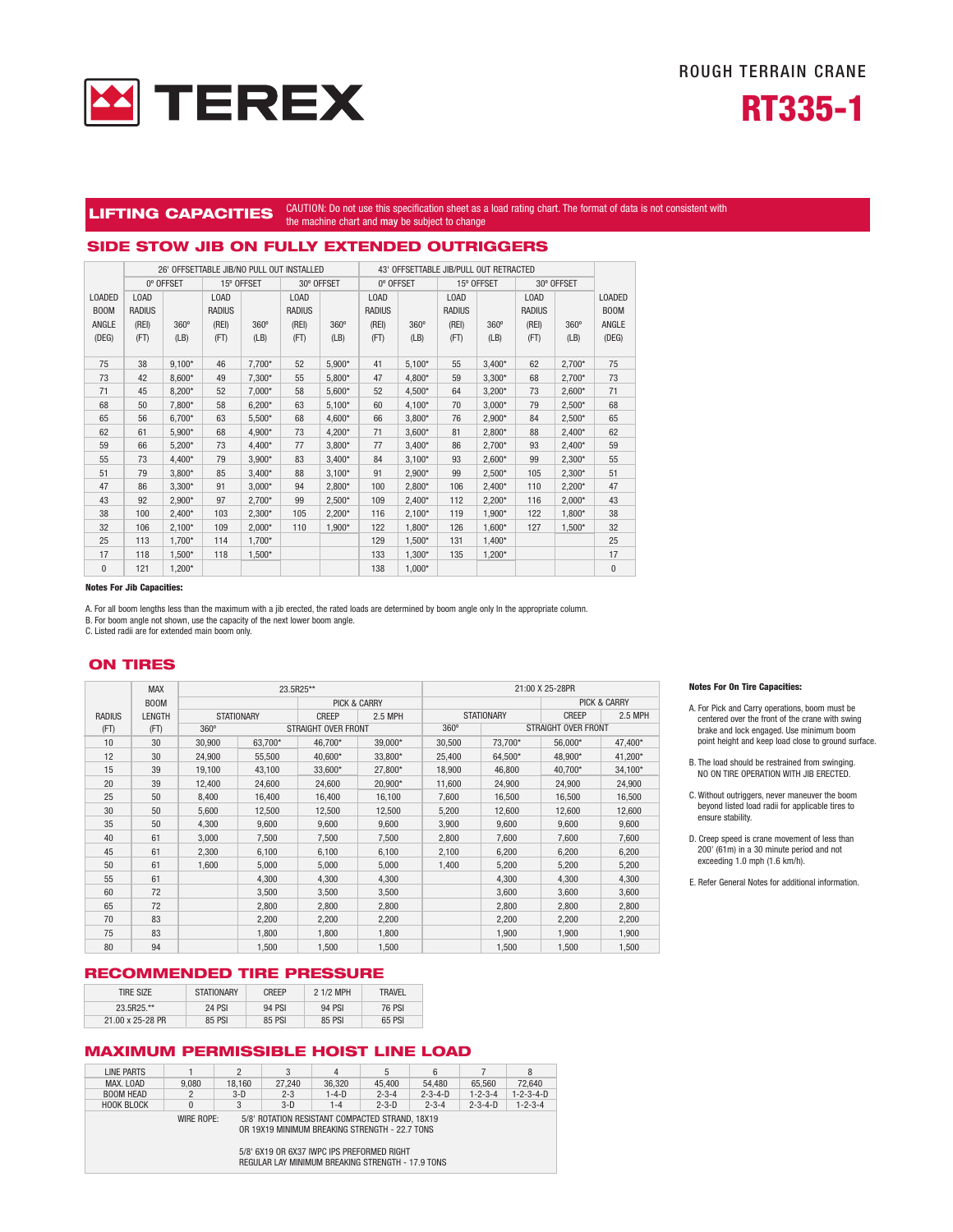



#### LIFTING CAPACITIES CAUTION: Do not use this specification sheet as a load rating chart. The format of data is not consistent with the machine chart and may be subject to change

## SIDE STOW JIB ON FULLY EXTENDED OUTRIGGERS

|               |               | 26' OFFSETTABLE JIB/NO PULL OUT INSTALLED |               |             |               | 43' OFFSETTABLE JIB/PULL OUT RETRACTED |               |             |               |             |               |             |               |
|---------------|---------------|-------------------------------------------|---------------|-------------|---------------|----------------------------------------|---------------|-------------|---------------|-------------|---------------|-------------|---------------|
|               | 0° OFFSET     |                                           | 15° OFFSET    |             | 30° OFFSET    |                                        | 0° OFFSET     |             | 15° OFFSET    |             | 30° OFFSET    |             |               |
| <b>LOADED</b> | <b>LOAD</b>   |                                           | <b>LOAD</b>   |             | LOAD          |                                        | <b>LOAD</b>   |             | LOAD          |             | <b>LOAD</b>   |             | <b>LOADED</b> |
| <b>BOOM</b>   | <b>RADIUS</b> |                                           | <b>RADIUS</b> |             | <b>RADIUS</b> |                                        | <b>RADIUS</b> |             | <b>RADIUS</b> |             | <b>RADIUS</b> |             | <b>BOOM</b>   |
| ANGLE         | (REI)         | $360^\circ$                               | (REI)         | $360^\circ$ | (REI)         | 360°                                   | (REI)         | $360^\circ$ | (REI)         | $360^\circ$ | (REI)         | $360^\circ$ | ANGLE         |
| (DEG)         | (FT)          | (LB)                                      | (FT)          | (LB)        | (FT)          | (LB)                                   | (FT)          | (LB)        | (FT)          | (LB)        | (FT)          | (LB)        | (DEG)         |
|               |               |                                           |               |             |               |                                        |               |             |               |             |               |             |               |
| 75            | 38            | $9,100*$                                  | 46            | $7.700*$    | 52            | $5,900*$                               | 41            | $5,100*$    | 55            | $3.400*$    | 62            | $2,700*$    | 75            |
| 73            | 42            | $8,600*$                                  | 49            | 7,300*      | 55            | $5,800*$                               | 47            | 4,800*      | 59            | $3,300*$    | 68            | $2,700*$    | 73            |
| 71            | 45            | 8,200*                                    | 52            | $7.000*$    | 58            | $5,600*$                               | 52            | 4,500*      | 64            | $3,200*$    | 73            | $2,600*$    | 71            |
| 68            | 50            | 7,800*                                    | 58            | $6.200*$    | 63            | $5,100*$                               | 60            | 4,100*      | 70            | $3,000*$    | 79            | $2,500*$    | 68            |
| 65            | 56            | $6,700*$                                  | 63            | 5,500*      | 68            | 4,600*                                 | 66            | $3,800*$    | 76            | $2,900*$    | 84            | $2,500*$    | 65            |
| 62            | 61            | 5,900*                                    | 68            | 4,900*      | 73            | $4,200*$                               | 71            | $3,600*$    | 81            | $2,800*$    | 88            | $2,400*$    | 62            |
| 59            | 66            | $5,200*$                                  | 73            | 4,400*      | 77            | $3,800*$                               | 77            | $3,400*$    | 86            | $2,700*$    | 93            | $2.400*$    | 59            |
| 55            | 73            | $4.400*$                                  | 79            | $3.900*$    | 83            | $3,400*$                               | 84            | $3,100*$    | 93            | $2.600*$    | 99            | $2,300*$    | 55            |
| 51            | 79            | $3,800*$                                  | 85            | $3.400*$    | 88            | $3,100*$                               | 91            | 2,900*      | 99            | $2.500*$    | 105           | $2,300*$    | 51            |
| 47            | 86            | $3,300*$                                  | 91            | $3.000*$    | 94            | 2,800*                                 | 100           | $2.800*$    | 106           | $2.400*$    | 110           | $2,200*$    | 47            |
| 43            | 92            | $2,900*$                                  | 97            | $2.700*$    | 99            | $2,500*$                               | 109           | $2,400*$    | 112           | $2,200*$    | 116           | $2,000*$    | 43            |
| 38            | 100           | $2.400*$                                  | 103           | $2.300*$    | 105           | $2,200*$                               | 116           | $2,100*$    | 119           | $1.900*$    | 122           | 1,800*      | 38            |
| 32            | 106           | $2.100*$                                  | 109           | $2.000*$    | 110           | 1,900*                                 | 122           | $1.800*$    | 126           | $1.600*$    | 127           | 1,500*      | 32            |
| 25            | 113           | 1,700*                                    | 114           | 1,700*      |               |                                        | 129           | 1,500*      | 131           | $1,400*$    |               |             | 25            |
| 17            | 118           | 1,500*                                    | 118           | 1,500*      |               |                                        | 133           | 1,300*      | 135           | $1,200*$    |               |             | 17            |
| $\mathbf{0}$  | 121           | $1.200*$                                  |               |             |               |                                        | 138           | $1.000*$    |               |             |               |             | $\mathbf{0}$  |

#### Notes For Jib Capacities:

A. For all boom lengths less than the maximum with a jib erected, the rated loads are determined by boom angle only In the appropriate column.

B. For boom angle not shown, use the capacity of the next lower boom angle. C. Listed radii are for extended main boom only.

### ON TIRES

|               | <b>MAX</b> | 23.5R25**   |                   |                         |         | 21:00 X 25-28PR |                     |                         |         |  |
|---------------|------------|-------------|-------------------|-------------------------|---------|-----------------|---------------------|-------------------------|---------|--|
| <b>BOOM</b>   |            |             |                   | <b>PICK &amp; CARRY</b> |         |                 |                     | <b>PICK &amp; CARRY</b> |         |  |
| <b>RADIUS</b> | LENGTH     |             | <b>STATIONARY</b> | <b>CREEP</b>            | 2.5 MPH |                 | <b>STATIONARY</b>   | <b>CREEP</b>            | 2.5 MPH |  |
| (FT)          | (FT)       | $360^\circ$ |                   | STRAIGHT OVER FRONT     |         | $360^\circ$     | STRAIGHT OVER FRONT |                         |         |  |
| 10            | 30         | 30,900      | 63,700*           | 46.700*                 | 39.000* | 30,500          | 73.700*             | 56,000*                 | 47,400* |  |
| 12            | 30         | 24.900      | 55,500            | 40.600*                 | 33.800* | 25.400          | 64.500*             | 48.900*                 | 41,200* |  |
| 15            | 39         | 19.100      | 43,100            | 33.600*                 | 27.800* | 18,900          | 46.800              | 40.700*                 | 34,100* |  |
| 20            | 39         | 12,400      | 24,600            | 24,600                  | 20,900* | 11,600          | 24,900              | 24,900                  | 24,900  |  |
| 25            | 50         | 8,400       | 16,400            | 16,400                  | 16,100  | 7.600           | 16,500              | 16,500                  | 16,500  |  |
| 30            | 50         | 5.600       | 12,500            | 12,500                  | 12,500  | 5,200           | 12,600              | 12,600                  | 12.600  |  |
| 35            | 50         | 4,300       | 9,600             | 9,600                   | 9,600   | 3,900           | 9,600               | 9,600                   | 9,600   |  |
| 40            | 61         | 3,000       | 7,500             | 7,500                   | 7,500   | 2,800           | 7,600               | 7,600                   | 7,600   |  |
| 45            | 61         | 2,300       | 6,100             | 6,100                   | 6,100   | 2,100           | 6,200               | 6,200                   | 6,200   |  |
| 50            | 61         | 1.600       | 5,000             | 5,000                   | 5,000   | 1.400           | 5,200               | 5,200                   | 5,200   |  |
| 55            | 61         |             | 4.300             | 4.300                   | 4.300   |                 | 4,300               | 4.300                   | 4,300   |  |
| 60            | 72         |             | 3.500             | 3.500                   | 3.500   |                 | 3.600               | 3.600                   | 3,600   |  |
| 65            | 72         |             | 2.800             | 2.800                   | 2.800   |                 | 2,800               | 2,800                   | 2,800   |  |
| 70            | 83         |             | 2,200             | 2,200                   | 2,200   |                 | 2,200               | 2,200                   | 2,200   |  |
| 75            | 83         |             | 1,800             | 1,800                   | 1,800   |                 | 1,900               | 1,900                   | 1,900   |  |
| 80            | 94         |             | 1,500             | 1,500                   | 1,500   |                 | 1.500               | 1.500                   | 1.500   |  |

### RECOMMENDED TIRE PRESSURE

| <b>TIRE SIZE</b> | <b>STATIONARY</b> | <b>CREEP</b> | 2 1/2 MPH | <b>TRAVFI</b> |
|------------------|-------------------|--------------|-----------|---------------|
| 23.5R25.**       | <b>24 PSI</b>     | 94 PSI       | 94 PSI    | 76 PSI        |
| 21.00 x 25-28 PR | 85 PSI            | 85 PSI       | 85 PSI    | 65 PSI        |

## MAXIMUM PERMISSIBLE HOIST LINE LOAD

| LINE PARTS                                                                                                                                                                                                         |       |        | 3       | 4           | 5           | 6               |                 | 8                   |  |  |  |
|--------------------------------------------------------------------------------------------------------------------------------------------------------------------------------------------------------------------|-------|--------|---------|-------------|-------------|-----------------|-----------------|---------------------|--|--|--|
| MAX. LOAD                                                                                                                                                                                                          | 9.080 | 18.160 | 27.240  | 36.320      | 45.400      | 54.480          | 65.560          | 72.640              |  |  |  |
| <b>BOOM HEAD</b>                                                                                                                                                                                                   |       | $3-D$  | $2 - 3$ | $1 - 4 - D$ | $2 - 3 - 4$ | $2 - 3 - 4 - D$ | $1 - 2 - 3 - 4$ | $1 - 2 - 3 - 4 - D$ |  |  |  |
| <b>HOOK BLOCK</b>                                                                                                                                                                                                  | 0     | 3      | $3-D$   | $1 - 4$     | $2 - 3 - D$ | $2 - 3 - 4$     | $2 - 3 - 4 - D$ | $1 - 2 - 3 - 4$     |  |  |  |
| WIRE ROPE:<br>5/8' ROTATION RESISTANT COMPACTED STRAND, 18X19<br>OR 19X19 MINIMUM BREAKING STRENGTH - 22.7 TONS<br>5/8' 6X19 OR 6X37 IWPC IPS PREFORMED RIGHT<br>REGULAR LAY MINIMUM BREAKING STRENGTH - 17.9 TONS |       |        |         |             |             |                 |                 |                     |  |  |  |

#### Notes For On Tire Capacities:

- A. For Pick and Carry operations, boom must be centered over the front of the crane with swing brake and lock engaged. Use minimum boom point height and keep load close to ground surface.
- B. The load should be restrained from swinging. NO ON TIRE OPERATION WITH JIB ERECTED.
- C. Without outriggers, never maneuver the boom beyond listed load radii for applicable tires to ensure stability.
- D. Creep speed is crane movement of less than 200' (61m) in a 30 minute period and not exceeding 1.0 mph (1.6 km/h).

E. Refer General Notes for additional information.